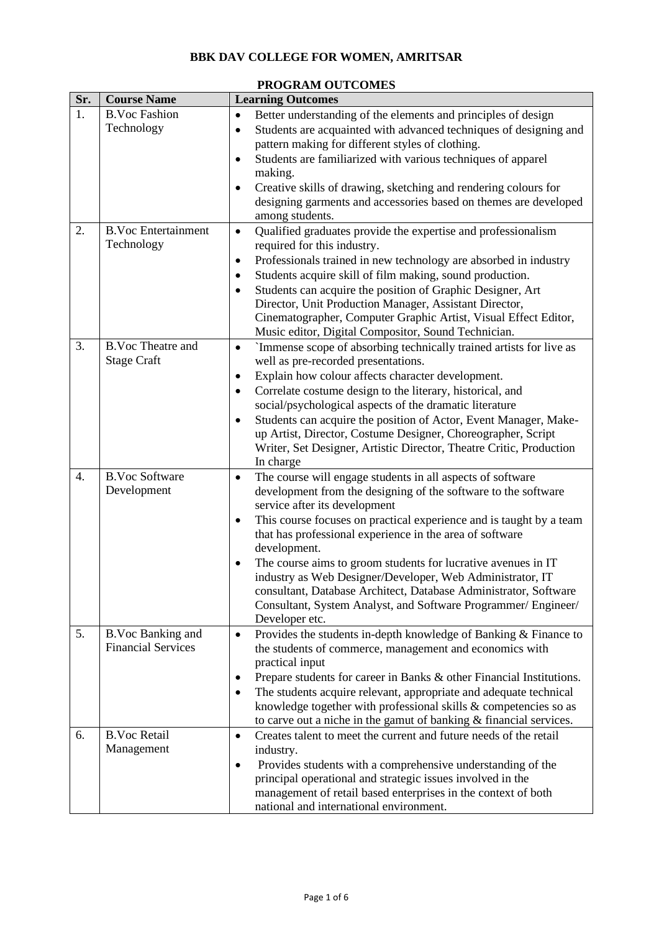## **BBK DAV COLLEGE FOR WOMEN, AMRITSAR**

| Sr. | <b>Course Name</b>                             | <b>Learning Outcomes</b>                                                                                                                                                                                                                                                                                                                                                                                                                                                                                                                                                                                                              |
|-----|------------------------------------------------|---------------------------------------------------------------------------------------------------------------------------------------------------------------------------------------------------------------------------------------------------------------------------------------------------------------------------------------------------------------------------------------------------------------------------------------------------------------------------------------------------------------------------------------------------------------------------------------------------------------------------------------|
| 1.  | <b>B.Voc Fashion</b><br>Technology             | Better understanding of the elements and principles of design<br>$\bullet$<br>Students are acquainted with advanced techniques of designing and<br>$\bullet$<br>pattern making for different styles of clothing.<br>Students are familiarized with various techniques of apparel<br>$\bullet$<br>making.<br>Creative skills of drawing, sketching and rendering colours for<br>$\bullet$<br>designing garments and accessories based on themes are developed                                                                                                                                                                          |
| 2.  | <b>B.Voc Entertainment</b><br>Technology       | among students.<br>Qualified graduates provide the expertise and professionalism<br>$\bullet$<br>required for this industry.<br>Professionals trained in new technology are absorbed in industry<br>$\bullet$<br>Students acquire skill of film making, sound production.<br>٠<br>Students can acquire the position of Graphic Designer, Art<br>$\bullet$<br>Director, Unit Production Manager, Assistant Director,<br>Cinematographer, Computer Graphic Artist, Visual Effect Editor,<br>Music editor, Digital Compositor, Sound Technician.                                                                                         |
| 3.  | <b>B.Voc Theatre and</b><br><b>Stage Craft</b> | `Immense scope of absorbing technically trained artists for live as<br>$\bullet$<br>well as pre-recorded presentations.<br>Explain how colour affects character development.<br>$\bullet$<br>Correlate costume design to the literary, historical, and<br>$\bullet$<br>social/psychological aspects of the dramatic literature<br>Students can acquire the position of Actor, Event Manager, Make-<br>$\bullet$<br>up Artist, Director, Costume Designer, Choreographer, Script<br>Writer, Set Designer, Artistic Director, Theatre Critic, Production<br>In charge                                                                   |
| 4.  | <b>B.Voc Software</b><br>Development           | The course will engage students in all aspects of software<br>$\bullet$<br>development from the designing of the software to the software<br>service after its development<br>This course focuses on practical experience and is taught by a team<br>٠<br>that has professional experience in the area of software<br>development.<br>The course aims to groom students for lucrative avenues in IT<br>$\bullet$<br>industry as Web Designer/Developer, Web Administrator, IT<br>consultant, Database Architect, Database Administrator, Software<br>Consultant, System Analyst, and Software Programmer/ Engineer/<br>Developer etc. |
| 5.  | B.Voc Banking and<br><b>Financial Services</b> | Provides the students in-depth knowledge of Banking & Finance to<br>$\bullet$<br>the students of commerce, management and economics with<br>practical input<br>Prepare students for career in Banks & other Financial Institutions.<br>٠<br>The students acquire relevant, appropriate and adequate technical<br>$\bullet$<br>knowledge together with professional skills & competencies so as<br>to carve out a niche in the gamut of banking & financial services.                                                                                                                                                                  |
| 6.  | <b>B.Voc Retail</b><br>Management              | Creates talent to meet the current and future needs of the retail<br>$\bullet$<br>industry.<br>Provides students with a comprehensive understanding of the<br>٠<br>principal operational and strategic issues involved in the<br>management of retail based enterprises in the context of both<br>national and international environment.                                                                                                                                                                                                                                                                                             |

## **PROGRAM OUTCOMES**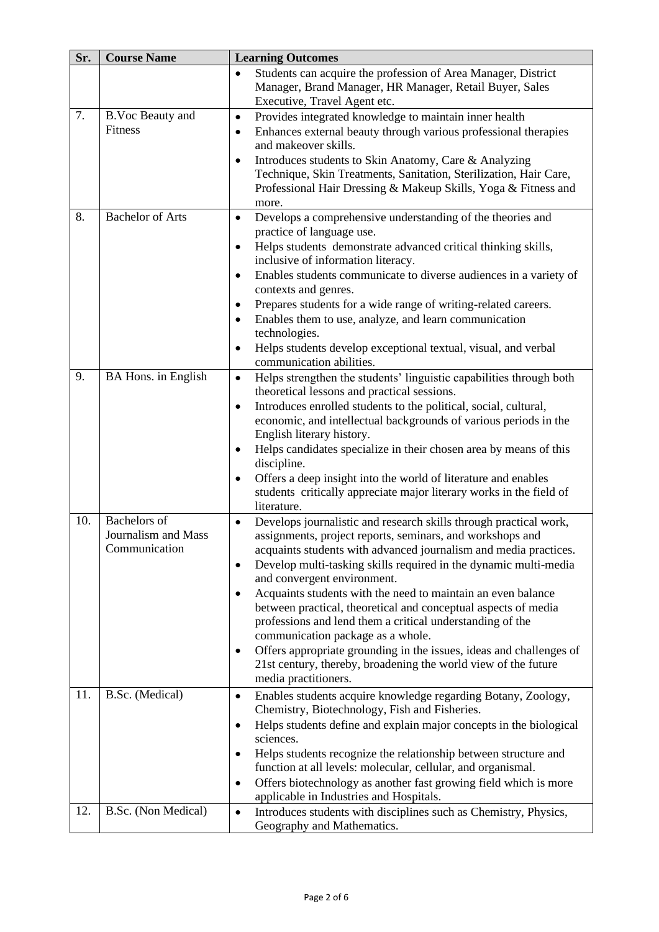| Sr.        | <b>Course Name</b>                                          | <b>Learning Outcomes</b>                                                                                                                                                                                                                                                                                                                                                                                                                                                                                                                                                                                                                                                                                                                       |  |
|------------|-------------------------------------------------------------|------------------------------------------------------------------------------------------------------------------------------------------------------------------------------------------------------------------------------------------------------------------------------------------------------------------------------------------------------------------------------------------------------------------------------------------------------------------------------------------------------------------------------------------------------------------------------------------------------------------------------------------------------------------------------------------------------------------------------------------------|--|
|            |                                                             | Students can acquire the profession of Area Manager, District<br>$\bullet$<br>Manager, Brand Manager, HR Manager, Retail Buyer, Sales<br>Executive, Travel Agent etc.                                                                                                                                                                                                                                                                                                                                                                                                                                                                                                                                                                          |  |
| 7.         | B.Voc Beauty and<br>Fitness                                 | Provides integrated knowledge to maintain inner health<br>$\bullet$<br>Enhances external beauty through various professional therapies<br>$\bullet$<br>and makeover skills.<br>Introduces students to Skin Anatomy, Care & Analyzing<br>$\bullet$<br>Technique, Skin Treatments, Sanitation, Sterilization, Hair Care,<br>Professional Hair Dressing & Makeup Skills, Yoga & Fitness and                                                                                                                                                                                                                                                                                                                                                       |  |
| 8.         | <b>Bachelor of Arts</b>                                     | more.<br>Develops a comprehensive understanding of the theories and<br>$\bullet$<br>practice of language use.<br>Helps students demonstrate advanced critical thinking skills,<br>$\bullet$<br>inclusive of information literacy.<br>Enables students communicate to diverse audiences in a variety of<br>$\bullet$<br>contexts and genres.<br>Prepares students for a wide range of writing-related careers.<br>٠<br>Enables them to use, analyze, and learn communication<br>$\bullet$<br>technologies.<br>Helps students develop exceptional textual, visual, and verbal<br>$\bullet$<br>communication abilities.                                                                                                                           |  |
| 9.         | BA Hons. in English                                         | Helps strengthen the students' linguistic capabilities through both<br>$\bullet$<br>theoretical lessons and practical sessions.<br>Introduces enrolled students to the political, social, cultural,<br>$\bullet$<br>economic, and intellectual backgrounds of various periods in the<br>English literary history.<br>Helps candidates specialize in their chosen area by means of this<br>٠<br>discipline.<br>Offers a deep insight into the world of literature and enables<br>$\bullet$<br>students critically appreciate major literary works in the field of<br>literature.                                                                                                                                                                |  |
| 10.        | <b>Bachelors</b> of<br>Journalism and Mass<br>Communication | Develops journalistic and research skills through practical work,<br>$\bullet$<br>assignments, project reports, seminars, and workshops and<br>acquaints students with advanced journalism and media practices.<br>Develop multi-tasking skills required in the dynamic multi-media<br>٠<br>and convergent environment.<br>Acquaints students with the need to maintain an even balance<br>$\bullet$<br>between practical, theoretical and conceptual aspects of media<br>professions and lend them a critical understanding of the<br>communication package as a whole.<br>Offers appropriate grounding in the issues, ideas and challenges of<br>٠<br>21st century, thereby, broadening the world view of the future<br>media practitioners. |  |
| 11.<br>12. | B.Sc. (Medical)<br>B.Sc. (Non Medical)                      | Enables students acquire knowledge regarding Botany, Zoology,<br>٠<br>Chemistry, Biotechnology, Fish and Fisheries.<br>Helps students define and explain major concepts in the biological<br>$\bullet$<br>sciences.<br>Helps students recognize the relationship between structure and<br>٠<br>function at all levels: molecular, cellular, and organismal.<br>Offers biotechnology as another fast growing field which is more<br>$\bullet$<br>applicable in Industries and Hospitals.<br>Introduces students with disciplines such as Chemistry, Physics,<br>$\bullet$                                                                                                                                                                       |  |
|            |                                                             | Geography and Mathematics.                                                                                                                                                                                                                                                                                                                                                                                                                                                                                                                                                                                                                                                                                                                     |  |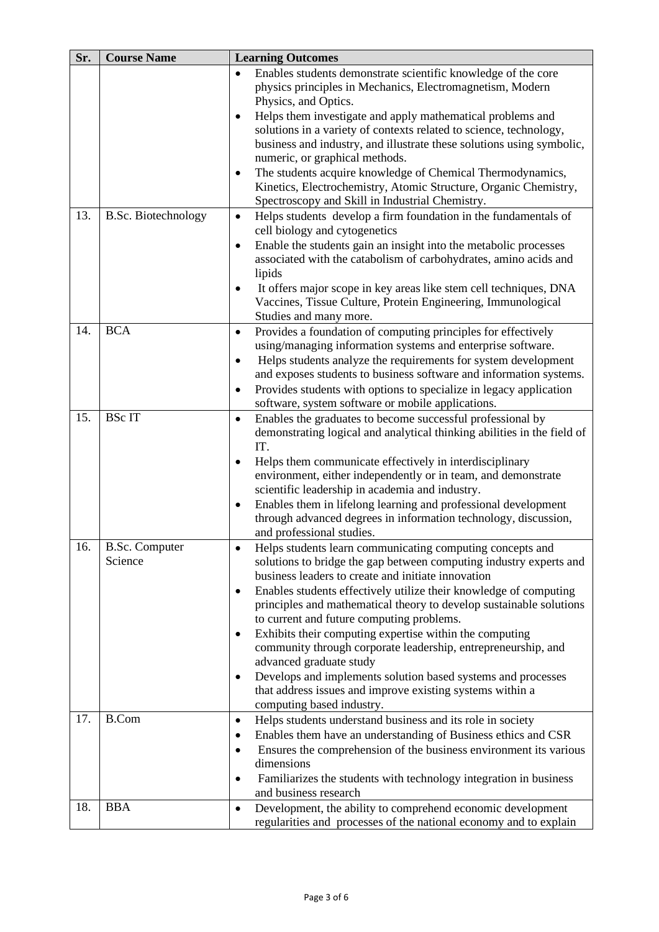| Sr. | <b>Course Name</b>         |           | <b>Learning Outcomes</b>                                                                             |
|-----|----------------------------|-----------|------------------------------------------------------------------------------------------------------|
|     |                            | $\bullet$ | Enables students demonstrate scientific knowledge of the core                                        |
|     |                            |           | physics principles in Mechanics, Electromagnetism, Modern                                            |
|     |                            |           | Physics, and Optics.                                                                                 |
|     |                            | ٠         | Helps them investigate and apply mathematical problems and                                           |
|     |                            |           | solutions in a variety of contexts related to science, technology,                                   |
|     |                            |           | business and industry, and illustrate these solutions using symbolic,                                |
|     |                            |           | numeric, or graphical methods.                                                                       |
|     |                            | $\bullet$ | The students acquire knowledge of Chemical Thermodynamics,                                           |
|     |                            |           | Kinetics, Electrochemistry, Atomic Structure, Organic Chemistry,                                     |
|     |                            |           | Spectroscopy and Skill in Industrial Chemistry.                                                      |
| 13. | <b>B.Sc. Biotechnology</b> | $\bullet$ | Helps students develop a firm foundation in the fundamentals of                                      |
|     |                            |           | cell biology and cytogenetics                                                                        |
|     |                            | $\bullet$ | Enable the students gain an insight into the metabolic processes                                     |
|     |                            |           | associated with the catabolism of carbohydrates, amino acids and                                     |
|     |                            |           | lipids                                                                                               |
|     |                            |           | It offers major scope in key areas like stem cell techniques, DNA                                    |
|     |                            |           | Vaccines, Tissue Culture, Protein Engineering, Immunological<br>Studies and many more.               |
| 14. | <b>BCA</b>                 |           | Provides a foundation of computing principles for effectively                                        |
|     |                            | $\bullet$ | using/managing information systems and enterprise software.                                          |
|     |                            | $\bullet$ | Helps students analyze the requirements for system development                                       |
|     |                            |           | and exposes students to business software and information systems.                                   |
|     |                            | $\bullet$ | Provides students with options to specialize in legacy application                                   |
|     |                            |           | software, system software or mobile applications.                                                    |
| 15. | <b>BSc IT</b>              | $\bullet$ | Enables the graduates to become successful professional by                                           |
|     |                            |           | demonstrating logical and analytical thinking abilities in the field of                              |
|     |                            |           | IT.                                                                                                  |
|     |                            | $\bullet$ | Helps them communicate effectively in interdisciplinary                                              |
|     |                            |           | environment, either independently or in team, and demonstrate                                        |
|     |                            |           | scientific leadership in academia and industry.                                                      |
|     |                            | $\bullet$ | Enables them in lifelong learning and professional development                                       |
|     |                            |           | through advanced degrees in information technology, discussion,                                      |
|     |                            |           | and professional studies.                                                                            |
| 16. | <b>B.Sc. Computer</b>      |           | Helps students learn communicating computing concepts and                                            |
|     | Science                    |           | solutions to bridge the gap between computing industry experts and                                   |
|     |                            |           | business leaders to create and initiate innovation                                                   |
|     |                            | $\bullet$ | Enables students effectively utilize their knowledge of computing                                    |
|     |                            |           | principles and mathematical theory to develop sustainable solutions                                  |
|     |                            |           | to current and future computing problems.<br>Exhibits their computing expertise within the computing |
|     |                            | ٠         | community through corporate leadership, entrepreneurship, and                                        |
|     |                            |           | advanced graduate study                                                                              |
|     |                            | $\bullet$ | Develops and implements solution based systems and processes                                         |
|     |                            |           | that address issues and improve existing systems within a                                            |
|     |                            |           | computing based industry.                                                                            |
| 17. | <b>B.Com</b>               | $\bullet$ | Helps students understand business and its role in society                                           |
|     |                            | ٠         | Enables them have an understanding of Business ethics and CSR                                        |
|     |                            | $\bullet$ | Ensures the comprehension of the business environment its various                                    |
|     |                            |           | dimensions                                                                                           |
|     |                            | $\bullet$ | Familiarizes the students with technology integration in business                                    |
|     |                            |           | and business research                                                                                |
| 18. | <b>BBA</b>                 | $\bullet$ | Development, the ability to comprehend economic development                                          |
|     |                            |           | regularities and processes of the national economy and to explain                                    |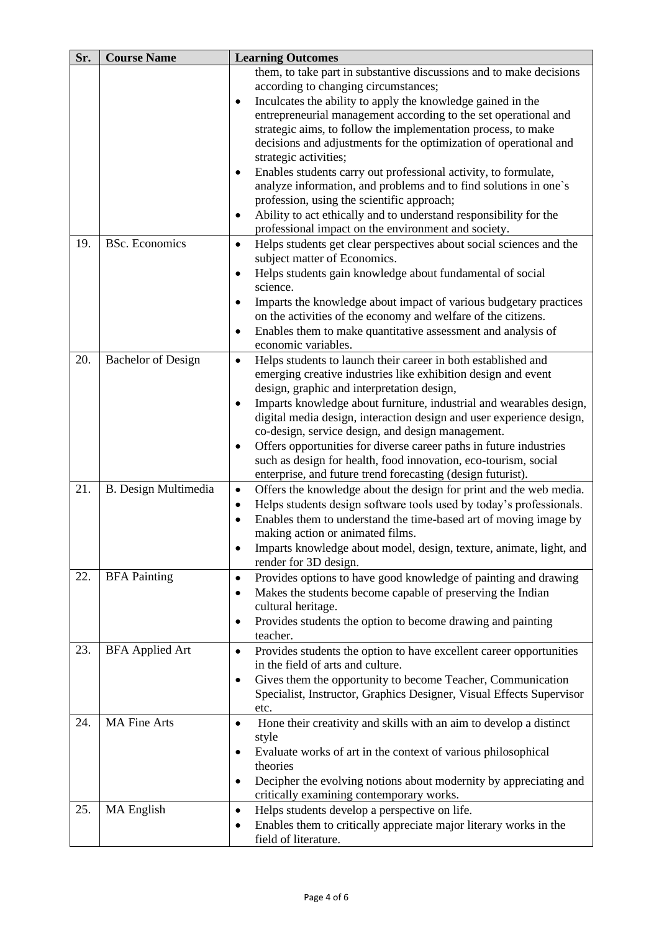| Sr. | <b>Course Name</b>          | <b>Learning Outcomes</b>                                                                                                                   |  |
|-----|-----------------------------|--------------------------------------------------------------------------------------------------------------------------------------------|--|
|     |                             | them, to take part in substantive discussions and to make decisions<br>according to changing circumstances;                                |  |
|     |                             | Inculcates the ability to apply the knowledge gained in the                                                                                |  |
|     |                             | entrepreneurial management according to the set operational and                                                                            |  |
|     |                             | strategic aims, to follow the implementation process, to make                                                                              |  |
|     |                             | decisions and adjustments for the optimization of operational and                                                                          |  |
|     |                             | strategic activities;                                                                                                                      |  |
|     |                             | Enables students carry out professional activity, to formulate,<br>٠                                                                       |  |
|     |                             | analyze information, and problems and to find solutions in one's                                                                           |  |
|     |                             | profession, using the scientific approach;<br>Ability to act ethically and to understand responsibility for the                            |  |
|     |                             | ٠<br>professional impact on the environment and society.                                                                                   |  |
| 19. | <b>BSc.</b> Economics       | Helps students get clear perspectives about social sciences and the<br>$\bullet$                                                           |  |
|     |                             | subject matter of Economics.                                                                                                               |  |
|     |                             | Helps students gain knowledge about fundamental of social<br>$\bullet$                                                                     |  |
|     |                             | science.                                                                                                                                   |  |
|     |                             | Imparts the knowledge about impact of various budgetary practices<br>٠                                                                     |  |
|     |                             | on the activities of the economy and welfare of the citizens.                                                                              |  |
|     |                             | Enables them to make quantitative assessment and analysis of<br>$\bullet$                                                                  |  |
|     |                             | economic variables.                                                                                                                        |  |
| 20. | <b>Bachelor</b> of Design   | Helps students to launch their career in both established and<br>$\bullet$                                                                 |  |
|     |                             | emerging creative industries like exhibition design and event                                                                              |  |
|     |                             | design, graphic and interpretation design,                                                                                                 |  |
|     |                             | Imparts knowledge about furniture, industrial and wearables design,<br>$\bullet$                                                           |  |
|     |                             | digital media design, interaction design and user experience design,                                                                       |  |
|     |                             | co-design, service design, and design management.                                                                                          |  |
|     |                             | Offers opportunities for diverse career paths in future industries<br>٠<br>such as design for health, food innovation, eco-tourism, social |  |
|     |                             | enterprise, and future trend forecasting (design futurist).                                                                                |  |
| 21. | <b>B.</b> Design Multimedia | Offers the knowledge about the design for print and the web media.<br>$\bullet$                                                            |  |
|     |                             | Helps students design software tools used by today's professionals.<br>٠                                                                   |  |
|     |                             | Enables them to understand the time-based art of moving image by<br>$\bullet$                                                              |  |
|     |                             | making action or animated films.                                                                                                           |  |
|     |                             | Imparts knowledge about model, design, texture, animate, light, and<br>$\bullet$                                                           |  |
|     |                             | render for 3D design.                                                                                                                      |  |
| 22. | <b>BFA Painting</b>         | Provides options to have good knowledge of painting and drawing<br>$\bullet$                                                               |  |
|     |                             | Makes the students become capable of preserving the Indian<br>$\bullet$                                                                    |  |
|     |                             | cultural heritage.                                                                                                                         |  |
|     |                             | Provides students the option to become drawing and painting<br>٠                                                                           |  |
| 23. | <b>BFA Applied Art</b>      | teacher.<br>$\bullet$                                                                                                                      |  |
|     |                             | Provides students the option to have excellent career opportunities<br>in the field of arts and culture.                                   |  |
|     |                             | Gives them the opportunity to become Teacher, Communication<br>٠                                                                           |  |
|     |                             | Specialist, Instructor, Graphics Designer, Visual Effects Supervisor                                                                       |  |
|     |                             | etc.                                                                                                                                       |  |
| 24. | <b>MA Fine Arts</b>         | Hone their creativity and skills with an aim to develop a distinct<br>$\bullet$                                                            |  |
|     |                             | style                                                                                                                                      |  |
|     |                             | Evaluate works of art in the context of various philosophical<br>$\bullet$                                                                 |  |
|     |                             | theories                                                                                                                                   |  |
|     |                             | Decipher the evolving notions about modernity by appreciating and<br>$\bullet$                                                             |  |
|     |                             | critically examining contemporary works.                                                                                                   |  |
| 25. | <b>MA</b> English           | Helps students develop a perspective on life.<br>$\bullet$                                                                                 |  |
|     |                             | Enables them to critically appreciate major literary works in the                                                                          |  |
|     |                             | field of literature.                                                                                                                       |  |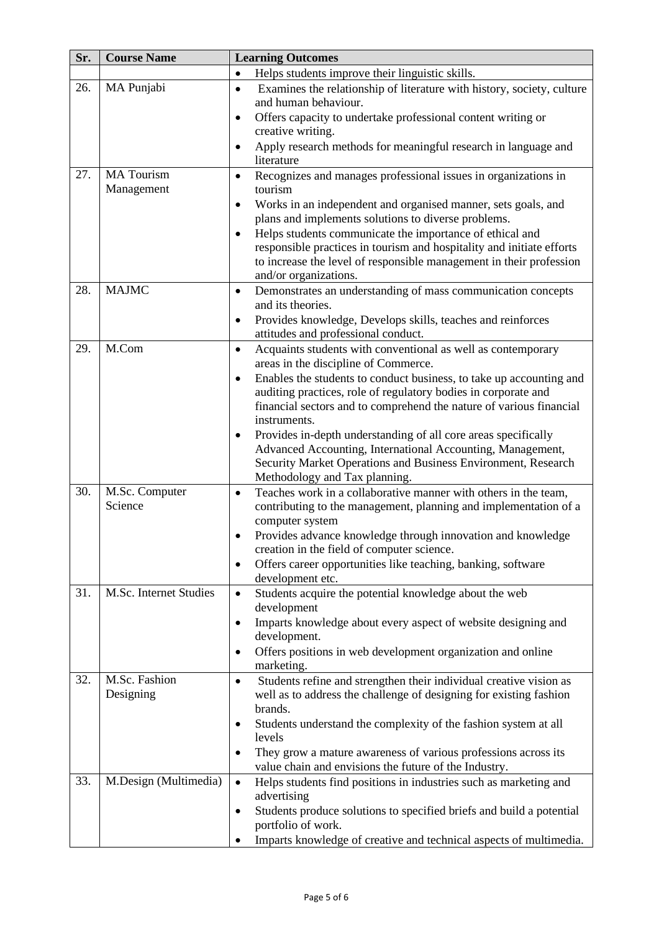| Sr. | <b>Course Name</b>              | <b>Learning Outcomes</b>                                                                                                                     |
|-----|---------------------------------|----------------------------------------------------------------------------------------------------------------------------------------------|
|     |                                 | Helps students improve their linguistic skills.<br>$\bullet$                                                                                 |
| 26. | MA Punjabi                      | Examines the relationship of literature with history, society, culture<br>$\bullet$<br>and human behaviour.                                  |
|     |                                 | Offers capacity to undertake professional content writing or<br>$\bullet$<br>creative writing.                                               |
|     |                                 | Apply research methods for meaningful research in language and<br>$\bullet$<br>literature                                                    |
| 27. | <b>MA</b> Tourism<br>Management | Recognizes and manages professional issues in organizations in<br>$\bullet$<br>tourism                                                       |
|     |                                 | Works in an independent and organised manner, sets goals, and<br>$\bullet$                                                                   |
|     |                                 | plans and implements solutions to diverse problems.<br>Helps students communicate the importance of ethical and<br>$\bullet$                 |
|     |                                 | responsible practices in tourism and hospitality and initiate efforts<br>to increase the level of responsible management in their profession |
|     |                                 | and/or organizations.                                                                                                                        |
| 28. | <b>MAJMC</b>                    | Demonstrates an understanding of mass communication concepts<br>$\bullet$<br>and its theories.                                               |
|     |                                 | Provides knowledge, Develops skills, teaches and reinforces<br>$\bullet$<br>attitudes and professional conduct.                              |
| 29. | M.Com                           | Acquaints students with conventional as well as contemporary<br>$\bullet$<br>areas in the discipline of Commerce.                            |
|     |                                 | Enables the students to conduct business, to take up accounting and<br>$\bullet$                                                             |
|     |                                 | auditing practices, role of regulatory bodies in corporate and                                                                               |
|     |                                 | financial sectors and to comprehend the nature of various financial<br>instruments.                                                          |
|     |                                 | Provides in-depth understanding of all core areas specifically<br>٠                                                                          |
|     |                                 | Advanced Accounting, International Accounting, Management,                                                                                   |
|     |                                 | Security Market Operations and Business Environment, Research                                                                                |
| 30. | M.Sc. Computer                  | Methodology and Tax planning.<br>Teaches work in a collaborative manner with others in the team,<br>$\bullet$                                |
|     | Science                         | contributing to the management, planning and implementation of a<br>computer system                                                          |
|     |                                 | Provides advance knowledge through innovation and knowledge<br>$\bullet$<br>creation in the field of computer science.                       |
|     |                                 | Offers career opportunities like teaching, banking, software<br>٠                                                                            |
|     |                                 | development etc.                                                                                                                             |
| 31. | M.Sc. Internet Studies          | Students acquire the potential knowledge about the web<br>$\bullet$<br>development                                                           |
|     |                                 | Imparts knowledge about every aspect of website designing and<br>$\bullet$<br>development.                                                   |
|     |                                 | Offers positions in web development organization and online<br>٠<br>marketing.                                                               |
| 32. | M.Sc. Fashion                   | Students refine and strengthen their individual creative vision as<br>$\bullet$                                                              |
|     | Designing                       | well as to address the challenge of designing for existing fashion                                                                           |
|     |                                 | brands.<br>Students understand the complexity of the fashion system at all<br>٠                                                              |
|     |                                 | levels                                                                                                                                       |
|     |                                 | They grow a mature awareness of various professions across its<br>$\bullet$<br>value chain and envisions the future of the Industry.         |
| 33. | M.Design (Multimedia)           | Helps students find positions in industries such as marketing and<br>$\bullet$                                                               |
|     |                                 | advertising                                                                                                                                  |
|     |                                 | Students produce solutions to specified briefs and build a potential<br>٠                                                                    |
|     |                                 | portfolio of work.                                                                                                                           |
|     |                                 | Imparts knowledge of creative and technical aspects of multimedia.                                                                           |